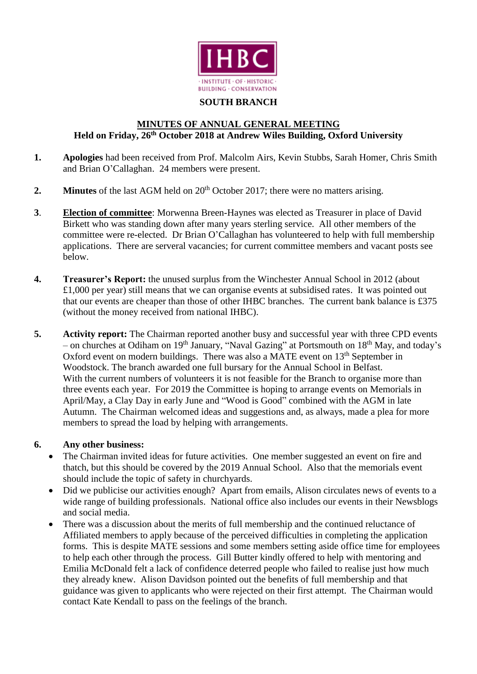

#### **SOUTH BRANCH**

## **MINUTES OF ANNUAL GENERAL MEETING Held on Friday, 26th October 2018 at Andrew Wiles Building, Oxford University**

- **1. Apologies** had been received from Prof. Malcolm Airs, Kevin Stubbs, Sarah Homer, Chris Smith and Brian O'Callaghan. 24 members were present.
- **2. Minutes** of the last AGM held on 20<sup>th</sup> October 2017; there were no matters arising.
- **3**. **Election of committee**: Morwenna Breen-Haynes was elected as Treasurer in place of David Birkett who was standing down after many years sterling service. All other members of the committee were re-elected. Dr Brian O'Callaghan has volunteered to help with full membership applications. There are serveral vacancies; for current committee members and vacant posts see below.
- **4. Treasurer's Report:** the unused surplus from the Winchester Annual School in 2012 (about £1,000 per year) still means that we can organise events at subsidised rates. It was pointed out that our events are cheaper than those of other IHBC branches. The current bank balance is £375 (without the money received from national IHBC).
- **5. Activity report:** The Chairman reported another busy and successful year with three CPD events – on churches at Odiham on  $19<sup>th</sup>$  January, "Naval Gazing" at Portsmouth on  $18<sup>th</sup>$  May, and today's Oxford event on modern buildings. There was also a MATE event on  $13<sup>th</sup>$  September in Woodstock. The branch awarded one full bursary for the Annual School in Belfast. With the current numbers of volunteers it is not feasible for the Branch to organise more than three events each year. For 2019 the Committee is hoping to arrange events on Memorials in April/May, a Clay Day in early June and "Wood is Good" combined with the AGM in late Autumn. The Chairman welcomed ideas and suggestions and, as always, made a plea for more members to spread the load by helping with arrangements.

# **6. Any other business:**

- The Chairman invited ideas for future activities. One member suggested an event on fire and thatch, but this should be covered by the 2019 Annual School. Also that the memorials event should include the topic of safety in churchyards.
- Did we publicise our activities enough? Apart from emails, Alison circulates news of events to a wide range of building professionals. National office also includes our events in their Newsblogs and social media.
- There was a discussion about the merits of full membership and the continued reluctance of Affiliated members to apply because of the perceived difficulties in completing the application forms. This is despite MATE sessions and some members setting aside office time for employees to help each other through the process. Gill Butter kindly offered to help with mentoring and Emilia McDonald felt a lack of confidence deterred people who failed to realise just how much they already knew. Alison Davidson pointed out the benefits of full membership and that guidance was given to applicants who were rejected on their first attempt. The Chairman would contact Kate Kendall to pass on the feelings of the branch.